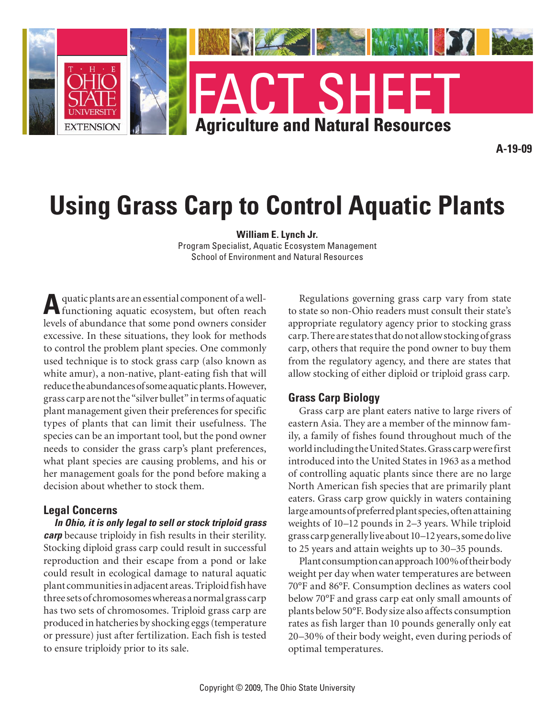

# **Using Grass Carp to Control Aquatic Plants**

**William E. Lynch Jr.**

Program Specialist, Aquatic Ecosystem Management School of Environment and Natural Resources

**A**quatic plants are an essential component of a well-functioning aquatic ecosystem, but often reach levels of abundance that some pond owners consider excessive. In these situations, they look for methods to control the problem plant species. One commonly used technique is to stock grass carp (also known as white amur), a non-native, plant-eating fish that will reduce the abundances of some aquatic plants. However, grass carp are not the "silver bullet" in terms of aquatic plant management given their preferences for specific types of plants that can limit their usefulness. The species can be an important tool, but the pond owner needs to consider the grass carp's plant preferences, what plant species are causing problems, and his or her management goals for the pond before making a decision about whether to stock them.

#### **Legal Concerns**

*In Ohio, it is only legal to sell or stock triploid grass carp* because triploidy in fish results in their sterility. Stocking diploid grass carp could result in successful reproduction and their escape from a pond or lake could result in ecological damage to natural aquatic plant communities in adjacent areas. Triploid fish have three sets of chromosomes whereas a normal grass carp has two sets of chromosomes. Triploid grass carp are produced in hatcheries by shocking eggs (temperature or pressure) just after fertilization. Each fish is tested to ensure triploidy prior to its sale.

Regulations governing grass carp vary from state to state so non-Ohio readers must consult their state's appropriate regulatory agency prior to stocking grass carp. There are states that do not allow stocking of grass carp, others that require the pond owner to buy them from the regulatory agency, and there are states that allow stocking of either diploid or triploid grass carp.

#### **Grass Carp Biology**

Grass carp are plant eaters native to large rivers of eastern Asia. They are a member of the minnow family, a family of fishes found throughout much of the world including the United States. Grass carp were first introduced into the United States in 1963 as a method of controlling aquatic plants since there are no large North American fish species that are primarily plant eaters. Grass carp grow quickly in waters containing large amounts of preferred plant species, often attaining weights of 10–12 pounds in 2–3 years. While triploid grass carp generally live about 10–12 years, some do live to 25 years and attain weights up to 30–35 pounds.

Plant consumption can approach 100% of their body weight per day when water temperatures are between 70°F and 86°F. Consumption declines as waters cool below 70°F and grass carp eat only small amounts of plants below 50°F. Body size also affects consumption rates as fish larger than 10 pounds generally only eat 20–30% of their body weight, even during periods of optimal temperatures.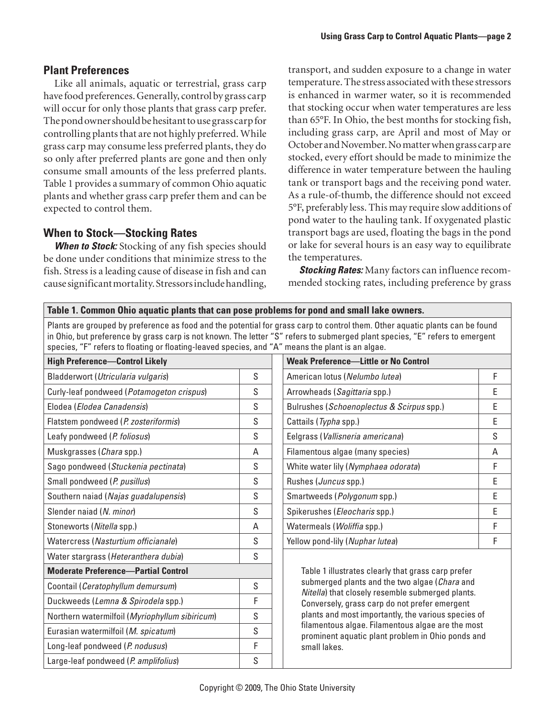### **Plant Preferences**

Like all animals, aquatic or terrestrial, grass carp have food preferences. Generally, control by grass carp will occur for only those plants that grass carp prefer. The pond owner should be hesitant to use grass carp for controlling plants that are not highly preferred. While grass carp may consume less preferred plants, they do so only after preferred plants are gone and then only consume small amounts of the less preferred plants. Table 1 provides a summary of common Ohio aquatic plants and whether grass carp prefer them and can be expected to control them.

### **When to Stock—Stocking Rates**

**When to Stock:** Stocking of any fish species should be done under conditions that minimize stress to the fish. Stress is a leading cause of disease in fish and can cause significant mortality. Stressors include handling,

transport, and sudden exposure to a change in water temperature. The stress associated with these stressors is enhanced in warmer water, so it is recommended that stocking occur when water temperatures are less than 65°F. In Ohio, the best months for stocking fish, including grass carp, are April and most of May or October and November. No matter when grass carp are stocked, every effort should be made to minimize the difference in water temperature between the hauling tank or transport bags and the receiving pond water. As a rule-of-thumb, the difference should not exceed 5°F, preferably less. This may require slow additions of pond water to the hauling tank. If oxygenated plastic transport bags are used, floating the bags in the pond or lake for several hours is an easy way to equilibrate the temperatures.

*Stocking Rates:* Many factors can influence recommended stocking rates, including preference by grass

| Table 1. Common Ohio aquatic plants that can pose problems for pond and small lake owners.                                                                                                                                                                                                                                                                       |   |                                                                                                                                                                                                                                                                                                                                     |
|------------------------------------------------------------------------------------------------------------------------------------------------------------------------------------------------------------------------------------------------------------------------------------------------------------------------------------------------------------------|---|-------------------------------------------------------------------------------------------------------------------------------------------------------------------------------------------------------------------------------------------------------------------------------------------------------------------------------------|
| Plants are grouped by preference as food and the potential for grass carp to control them. Other aquatic plants can be found<br>in Ohio, but preference by grass carp is not known. The letter "S" refers to submerged plant species, "E" refers to emergent<br>species, "F" refers to floating or floating-leaved species, and "A" means the plant is an algae. |   |                                                                                                                                                                                                                                                                                                                                     |
| <b>High Preference-Control Likely</b>                                                                                                                                                                                                                                                                                                                            |   | <b>Weak Preference-Little or No Control</b>                                                                                                                                                                                                                                                                                         |
| Bladderwort (Utricularia vulgaris)                                                                                                                                                                                                                                                                                                                               | S | F<br>American lotus (Nelumbo lutea)                                                                                                                                                                                                                                                                                                 |
| Curly-leaf pondweed (Potamogeton crispus)                                                                                                                                                                                                                                                                                                                        | S | E<br>Arrowheads (Sagittaria spp.)                                                                                                                                                                                                                                                                                                   |
| Elodea (Elodea Canadensis)                                                                                                                                                                                                                                                                                                                                       | S | E<br>Bulrushes (Schoenoplectus & Scirpus spp.)                                                                                                                                                                                                                                                                                      |
| Flatstem pondweed (P. zosteriformis)                                                                                                                                                                                                                                                                                                                             | S | E<br>Cattails (Typha spp.)                                                                                                                                                                                                                                                                                                          |
| Leafy pondweed (P. foliosus)                                                                                                                                                                                                                                                                                                                                     | S | S<br>Eelgrass (Vallisneria americana)                                                                                                                                                                                                                                                                                               |
| Muskgrasses (Chara spp.)                                                                                                                                                                                                                                                                                                                                         | Α | Filamentous algae (many species)<br>Α                                                                                                                                                                                                                                                                                               |
| Sago pondweed (Stuckenia pectinata)                                                                                                                                                                                                                                                                                                                              | S | F<br>White water lily (Nymphaea odorata)                                                                                                                                                                                                                                                                                            |
| Small pondweed (P. pusillus)                                                                                                                                                                                                                                                                                                                                     | S | E<br>Rushes (Juncus spp.)                                                                                                                                                                                                                                                                                                           |
| Southern naiad (Najas guadalupensis)                                                                                                                                                                                                                                                                                                                             | S | E<br>Smartweeds (Polygonum spp.)                                                                                                                                                                                                                                                                                                    |
| Slender naiad (N. minor)                                                                                                                                                                                                                                                                                                                                         | S | E<br>Spikerushes (Eleocharis spp.)                                                                                                                                                                                                                                                                                                  |
| Stoneworts (Nitella spp.)                                                                                                                                                                                                                                                                                                                                        | A | F<br>Watermeals (Woliffia spp.)                                                                                                                                                                                                                                                                                                     |
| Watercress (Nasturtium officianale)                                                                                                                                                                                                                                                                                                                              | S | F<br>Yellow pond-lily (Nuphar lutea)                                                                                                                                                                                                                                                                                                |
| Water stargrass (Heteranthera dubia)                                                                                                                                                                                                                                                                                                                             | S |                                                                                                                                                                                                                                                                                                                                     |
| <b>Moderate Preference-Partial Control</b>                                                                                                                                                                                                                                                                                                                       |   | Table 1 illustrates clearly that grass carp prefer                                                                                                                                                                                                                                                                                  |
| Coontail (Ceratophyllum demursum)                                                                                                                                                                                                                                                                                                                                | S | submerged plants and the two algae (Chara and<br>Nitella) that closely resemble submerged plants.<br>Conversely, grass carp do not prefer emergent<br>plants and most importantly, the various species of<br>filamentous algae. Filamentous algae are the most<br>prominent aquatic plant problem in Ohio ponds and<br>small lakes. |
| Duckweeds (Lemna & Spirodela spp.)                                                                                                                                                                                                                                                                                                                               | F |                                                                                                                                                                                                                                                                                                                                     |
| Northern watermilfoil (Myriophyllum sibiricum)                                                                                                                                                                                                                                                                                                                   | S |                                                                                                                                                                                                                                                                                                                                     |
| Eurasian watermilfoil (M. spicatum)                                                                                                                                                                                                                                                                                                                              | S |                                                                                                                                                                                                                                                                                                                                     |
| Long-leaf pondweed (P. nodusus)                                                                                                                                                                                                                                                                                                                                  | F |                                                                                                                                                                                                                                                                                                                                     |
| Large-leaf pondweed (P. amplifolius)                                                                                                                                                                                                                                                                                                                             | S |                                                                                                                                                                                                                                                                                                                                     |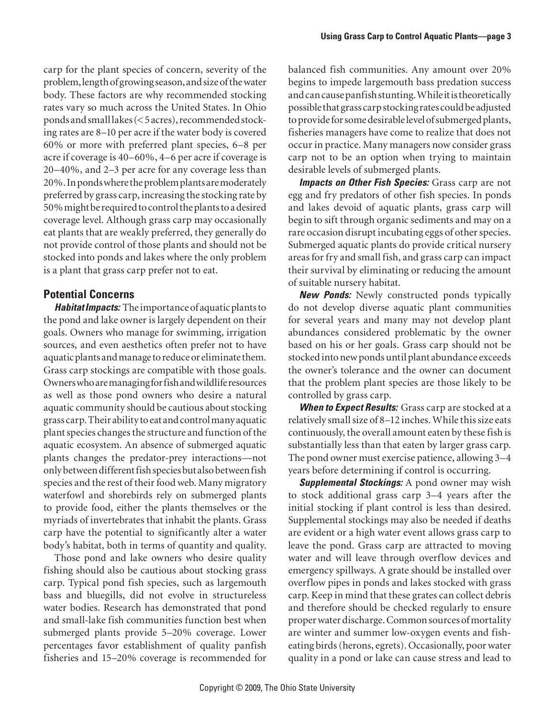carp for the plant species of concern, severity of the problem, length of growing season, and size of the water body. These factors are why recommended stocking rates vary so much across the United States. In Ohio ponds and small lakes (< 5 acres), recommended stocking rates are 8–10 per acre if the water body is covered 60% or more with preferred plant species, 6–8 per acre if coverage is 40–60%, 4–6 per acre if coverage is 20–40%, and 2–3 per acre for any coverage less than 20%. In ponds where the problem plants are moderately preferred by grass carp, increasing the stocking rate by 50% might be required to control the plants to a desired coverage level. Although grass carp may occasionally eat plants that are weakly preferred, they generally do not provide control of those plants and should not be stocked into ponds and lakes where the only problem is a plant that grass carp prefer not to eat.

## **Potential Concerns**

*Habitat Impacts:* The importance of aquatic plants to the pond and lake owner is largely dependent on their goals. Owners who manage for swimming, irrigation sources, and even aesthetics often prefer not to have aquatic plants and manage to reduce or eliminate them. Grass carp stockings are compatible with those goals. Owners who are managing for fish and wildlife resources as well as those pond owners who desire a natural aquatic community should be cautious about stocking grass carp. Their ability to eat and control many aquatic plant species changes the structure and function of the aquatic ecosystem. An absence of submerged aquatic plants changes the predator-prey interactions—not only between different fish species but also between fish species and the rest of their food web. Many migratory waterfowl and shorebirds rely on submerged plants to provide food, either the plants themselves or the myriads of invertebrates that inhabit the plants. Grass carp have the potential to significantly alter a water body's habitat, both in terms of quantity and quality.

Those pond and lake owners who desire quality fishing should also be cautious about stocking grass carp. Typical pond fish species, such as largemouth bass and bluegills, did not evolve in structureless water bodies. Research has demonstrated that pond and small-lake fish communities function best when submerged plants provide 5–20% coverage. Lower percentages favor establishment of quality panfish fisheries and 15–20% coverage is recommended for

balanced fish communities. Any amount over 20% begins to impede largemouth bass predation success and can cause panfish stunting. While it is theoretically possible that grass carp stocking rates could be adjusted to provide for some desirable level of submerged plants, fisheries managers have come to realize that does not occur in practice. Many managers now consider grass carp not to be an option when trying to maintain desirable levels of submerged plants.

*Impacts on Other Fish Species:* Grass carp are not egg and fry predators of other fish species. In ponds and lakes devoid of aquatic plants, grass carp will begin to sift through organic sediments and may on a rare occasion disrupt incubating eggs of other species. Submerged aquatic plants do provide critical nursery areas for fry and small fish, and grass carp can impact their survival by eliminating or reducing the amount of suitable nursery habitat.

*New Ponds:* Newly constructed ponds typically do not develop diverse aquatic plant communities for several years and many may not develop plant abundances considered problematic by the owner based on his or her goals. Grass carp should not be stocked into new ponds until plant abundance exceeds the owner's tolerance and the owner can document that the problem plant species are those likely to be controlled by grass carp.

*When to Expect Results:* Grass carp are stocked at a relatively small size of 8–12 inches. While this size eats continuously, the overall amount eaten by these fish is substantially less than that eaten by larger grass carp. The pond owner must exercise patience, allowing 3–4 years before determining if control is occurring.

*Supplemental Stockings:* A pond owner may wish to stock additional grass carp 3–4 years after the initial stocking if plant control is less than desired. Supplemental stockings may also be needed if deaths are evident or a high water event allows grass carp to leave the pond. Grass carp are attracted to moving water and will leave through overflow devices and emergency spillways. A grate should be installed over overflow pipes in ponds and lakes stocked with grass carp. Keep in mind that these grates can collect debris and therefore should be checked regularly to ensure proper water discharge. Common sources of mortality are winter and summer low-oxygen events and fisheating birds (herons, egrets). Occasionally, poor water quality in a pond or lake can cause stress and lead to